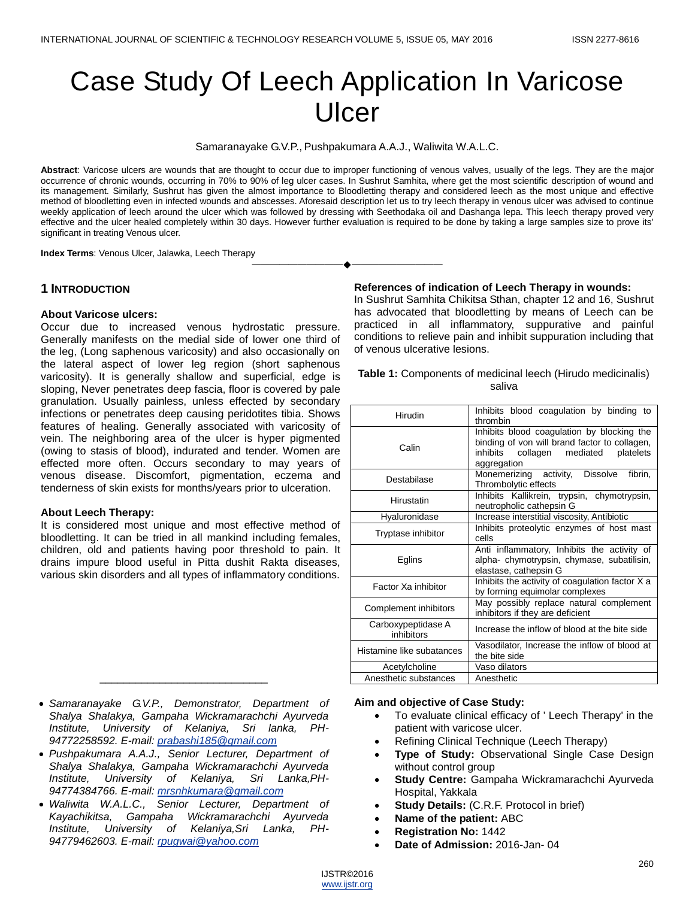# Case Study Of Leech Application In Varicose Ulcer

Samaranayake G.V.P., Pushpakumara A.A.J., Waliwita W.A.L.C.

**Abstract**: Varicose ulcers are wounds that are thought to occur due to improper functioning of venous valves, usually of the legs. They are the major occurrence of chronic wounds, occurring in 70% to 90% of leg ulcer cases. In Sushrut Samhita, where get the most scientific description of wound and its management. Similarly, Sushrut has given the almost importance to Bloodletting therapy and considered leech as the most unique and effective method of bloodletting even in infected wounds and abscesses. Aforesaid description let us to try leech therapy in venous ulcer was advised to continue weekly application of leech around the ulcer which was followed by dressing with Seethodaka oil and Dashanga lepa. This leech therapy proved very effective and the ulcer healed completely within 30 days. However further evaluation is required to be done by taking a large samples size to prove its' significant in treating Venous ulcer.

————————————————————

**Index Terms**: Venous Ulcer, Jalawka, Leech Therapy

## **1 INTRODUCTION**

#### **About Varicose ulcers:**

Occur due to increased venous hydrostatic pressure. Generally manifests on the medial side of lower one third of the leg, (Long saphenous varicosity) and also occasionally on the lateral aspect of lower leg region (short saphenous varicosity). It is generally shallow and superficial, edge is sloping, Never penetrates deep fascia, floor is covered by pale granulation. Usually painless, unless effected by secondary infections or penetrates deep causing peridotites tibia. Shows features of healing. Generally associated with varicosity of vein. The neighboring area of the ulcer is hyper pigmented (owing to stasis of blood), indurated and tender. Women are effected more often. Occurs secondary to may years of venous disease. Discomfort, pigmentation, eczema and tenderness of skin exists for months/years prior to ulceration.

## **About Leech Therapy:**

It is considered most unique and most effective method of bloodletting. It can be tried in all mankind including females, children, old and patients having poor threshold to pain. It drains impure blood useful in Pitta dushit Rakta diseases, various skin disorders and all types of inflammatory conditions.

## **References of indication of Leech Therapy in wounds:**

In Sushrut Samhita Chikitsa Sthan, chapter 12 and 16, Sushrut has advocated that bloodletting by means of Leech can be practiced in all inflammatory, suppurative and painful conditions to relieve pain and inhibit suppuration including that of venous ulcerative lesions.

| Table 1: Components of medicinal leech (Hirudo medicinalis) |
|-------------------------------------------------------------|
| saliva                                                      |

| <b>Hirudin</b>                   | Inhibits blood coagulation by binding to<br>thrombin                                                                                                  |
|----------------------------------|-------------------------------------------------------------------------------------------------------------------------------------------------------|
| Calin                            | Inhibits blood coagulation by blocking the<br>binding of von will brand factor to collagen,<br>inhibits collagen mediated<br>platelets<br>aggregation |
| Destabilase                      | Monemerizing activity, Dissolve<br>fibrin,<br>Thrombolytic effects                                                                                    |
| Hirustatin                       | Inhibits Kallikrein, trypsin, chymotrypsin,<br>neutropholic cathepsin G                                                                               |
| Hyaluronidase                    | Increase interstitial viscosity, Antibiotic                                                                                                           |
| Tryptase inhibitor               | Inhibits proteolytic enzymes of host mast<br>cells                                                                                                    |
| Eglins                           | Anti inflammatory, Inhibits the activity of<br>alpha-chymotrypsin, chymase, subatilisin,<br>elastase, cathepsin G                                     |
| Factor Xa inhibitor              | Inhibits the activity of coagulation factor X a<br>by forming equimolar complexes                                                                     |
| Complement inhibitors            | May possibly replace natural complement<br>inhibitors if they are deficient                                                                           |
| Carboxypeptidase A<br>inhibitors | Increase the inflow of blood at the bite side                                                                                                         |
| Histamine like subatances        | Vasodilator, Increase the inflow of blood at<br>the bite side                                                                                         |
| Acetylcholine                    | Vaso dilators                                                                                                                                         |
| Anesthetic substances            | Anesthetic                                                                                                                                            |

 *Samaranayake G.V.P., Demonstrator, Department of Shalya Shalakya, Gampaha Wickramarachchi Ayurveda Institute, University of Kelaniya, Sri lanka, PH-94772258592. E-mail: [prabashi185@gmail.com](mailto:prabashi185@gmail.com)*

\_\_\_\_\_\_\_\_\_\_\_\_\_\_\_\_\_\_\_\_\_\_\_\_\_\_\_\_

- *Pushpakumara A.A.J., Senior Lecturer, Department of Shalya Shalakya, Gampaha Wickramarachchi Ayurveda Institute, University of Kelaniya, Sri Lanka,PH-94774384766. E-mail: [mrsnhkumara@gmail.com](mailto:mrsnhkumara@gmail.com)*
- *Waliwita W.A.L.C., Senior Lecturer, Department of Kayachikitsa, Gampaha Wickramarachchi Ayurveda Institute, University of Kelaniya,Sri Lanka, PH-94779462603. E-mail: [rpugwai@yahoo.com](mailto:rpugwai@yahoo.com)*

## **Aim and objective of Case Study:**

- To evaluate clinical efficacy of ' Leech Therapy' in the patient with varicose ulcer.
- Refining Clinical Technique (Leech Therapy)
- **Type of Study:** Observational Single Case Design without control group
- **Study Centre:** Gampaha Wickramarachchi Ayurveda Hospital, Yakkala
- **Study Details:** (C.R.F. Protocol in brief)
- **Name of the patient:** ABC
- **Registration No:** 1442
- **Date of Admission:** 2016-Jan- 04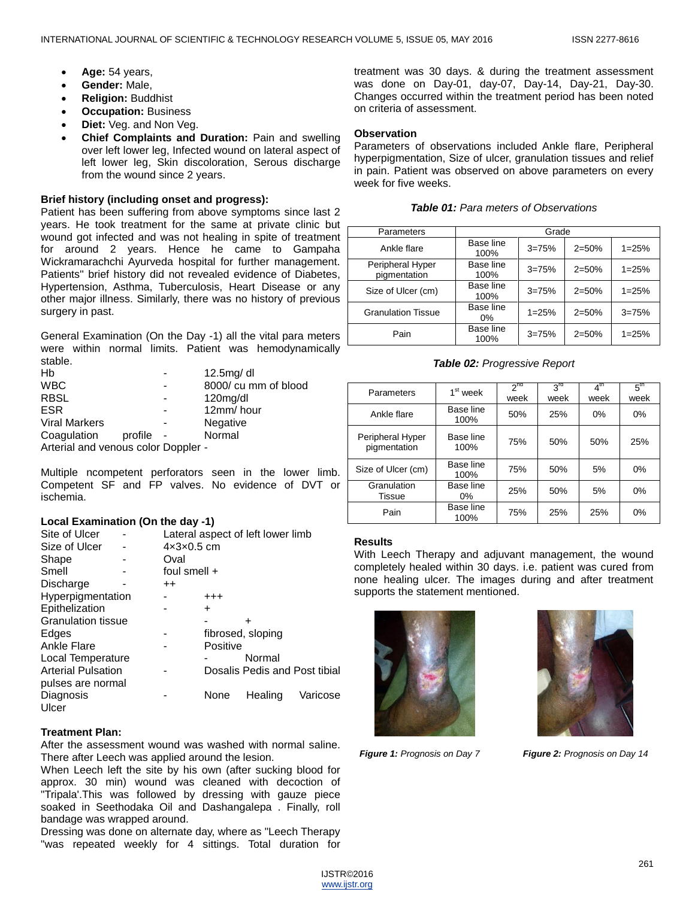- **Age:** 54 years,
- **Gender:** Male,
- **Religion:** Buddhist
- **Occupation:** Business
- **Diet:** Veg. and Non Veg.
- **Chief Complaints and Duration:** Pain and swelling over left lower leg, Infected wound on lateral aspect of left lower leg, Skin discoloration, Serous discharge from the wound since 2 years.

#### **Brief history (including onset and progress):**

Patient has been suffering from above symptoms since last 2 years. He took treatment for the same at private clinic but wound got infected and was not healing in spite of treatment for around 2 years. Hence he came to Gampaha Wickramarachchi Ayurveda hospital for further management. Patients'' brief history did not revealed evidence of Diabetes, Hypertension, Asthma, Tuberculosis, Heart Disease or any other major illness. Similarly, there was no history of previous surgery in past.

General Examination (On the Day -1) all the vital para meters were within normal limits. Patient was hemodynamically stable.

| Hb                                  |         |  | 12.5mg/ dl           |  |  |  |
|-------------------------------------|---------|--|----------------------|--|--|--|
| <b>WBC</b>                          |         |  | 8000/ cu mm of blood |  |  |  |
| <b>RBSL</b>                         |         |  | $120$ mg/dl          |  |  |  |
| <b>ESR</b>                          |         |  | 12mm/hour            |  |  |  |
| <b>Viral Markers</b>                |         |  | Negative             |  |  |  |
| Coagulation                         | profile |  | Normal               |  |  |  |
| Arterial and venous color Doppler - |         |  |                      |  |  |  |

Multiple ncompetent perforators seen in the lower limb. Competent SF and FP valves. No evidence of DVT or ischemia.

#### **Local Examination (On the day -1)**

| Site of Ulcer             |                  | Lateral aspect of left lower limb |                               |          |  |
|---------------------------|------------------|-----------------------------------|-------------------------------|----------|--|
| Size of Ulcer             |                  | $4x3x0.5$ cm                      |                               |          |  |
| Shape                     | Oval             |                                   |                               |          |  |
| Smell                     |                  | foul smell $+$                    |                               |          |  |
| Discharge                 | $^{\mathrm{++}}$ |                                   |                               |          |  |
| Hyperpigmentation         |                  | $^{+++}$                          |                               |          |  |
| Epithelization            |                  | $\ddot{}$                         |                               |          |  |
| <b>Granulation tissue</b> |                  |                                   | ٠                             |          |  |
| Edges                     |                  |                                   | fibrosed, sloping             |          |  |
| Ankle Flare               |                  | Positive                          |                               |          |  |
| Local Temperature         |                  |                                   | Normal                        |          |  |
| <b>Arterial Pulsation</b> |                  |                                   | Dosalis Pedis and Post tibial |          |  |
| pulses are normal         |                  |                                   |                               |          |  |
| Diagnosis                 |                  | None                              | Healing                       | Varicose |  |
| Ulcer                     |                  |                                   |                               |          |  |

## **Treatment Plan:**

After the assessment wound was washed with normal saline. There after Leech was applied around the lesion.

When Leech left the site by his own (after sucking blood for approx. 30 min) wound was cleaned with decoction of "Tripala'.This was followed by dressing with gauze piece soaked in Seethodaka Oil and Dashangalepa . Finally, roll bandage was wrapped around.

Dressing was done on alternate day, where as "Leech Therapy "was repeated weekly for 4 sittings. Total duration for treatment was 30 days. & during the treatment assessment was done on Day-01, day-07, Day-14, Day-21, Day-30. Changes occurred within the treatment period has been noted on criteria of assessment.

# **Observation**

Parameters of observations included Ankle flare, Peripheral hyperpigmentation, Size of ulcer, granulation tissues and relief in pain. Patient was observed on above parameters on every week for five weeks.

|  |  | <b>Table 01: Para meters of Observations</b> |
|--|--|----------------------------------------------|
|--|--|----------------------------------------------|

| Parameters                       | Grade             |           |           |           |  |
|----------------------------------|-------------------|-----------|-----------|-----------|--|
| Ankle flare                      | Base line<br>100% | $3 = 75%$ | $2 = 50%$ | $1 = 25%$ |  |
| Peripheral Hyper<br>pigmentation | Base line<br>100% | $3 = 75%$ | $2 = 50%$ | $1 = 25%$ |  |
| Size of Ulcer (cm)               | Base line<br>100% | $3 = 75%$ | $2 = 50%$ | $1 = 25%$ |  |
| <b>Granulation Tissue</b>        | Base line<br>0%   | $1 = 25%$ | $2 = 50%$ | $3 = 75%$ |  |
| Pain                             | Base line<br>100% | $3 = 75%$ | $2 = 50%$ | $1 = 25%$ |  |

*Table 02: Progressive Report*

| Parameters                       | $1st$ week        | 2 <sup>nd</sup><br>week | $3^{rd}$<br>week | $4^{\text{th}}$<br>week | 5 <sup>th</sup><br>week |
|----------------------------------|-------------------|-------------------------|------------------|-------------------------|-------------------------|
| Ankle flare                      | Base line<br>100% | 50%                     | 25%              | 0%                      | 0%                      |
| Peripheral Hyper<br>pigmentation | Base line<br>100% | 75%                     | 50%              | 50%                     | 25%                     |
| Size of Ulcer (cm)               | Base line<br>100% | 75%                     | 50%              | 5%                      | 0%                      |
| Granulation<br>Tissue            | Base line<br>0%   | 25%                     | 50%              | 5%                      | 0%                      |
| Pain                             | Base line<br>100% | 75%                     | 25%              | 25%                     | 0%                      |

## **Results**

With Leech Therapy and adjuvant management, the wound completely healed within 30 days. i.e. patient was cured from none healing ulcer. The images during and after treatment supports the statement mentioned.





*Figure 1: Prognosis on Day 7 Figure 2: Prognosis on Day 14*